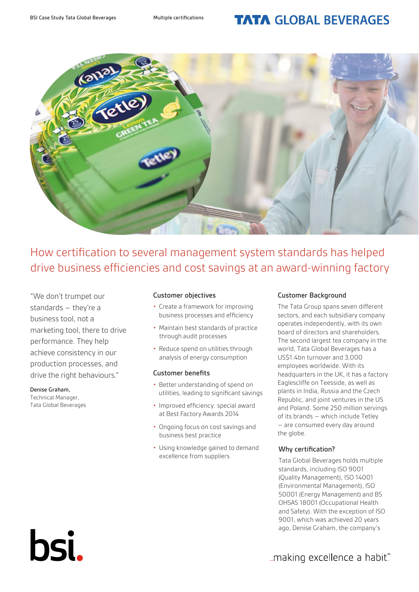# **TATA GLOBAL BEVERAGES**



How certification to several management system standards has helped drive business efficiencies and cost savings at an award-winning factory

"We don't trumpet our standards – they're a business tool, not a marketing tool, there to drive performance. They help achieve consistency in our production processes, and drive the right behaviours."

#### Denise Graham,

Technical Manager, Tata Global Beverages

bsi.

#### Customer objectives

- Create a framework for improving business processes and efficiency
- Maintain best standards of practice through audit processes
- Reduce spend on utilities through analysis of energy consumption

### Customer benefits

- Better understanding of spend on utilities, leading to significant savings
- Improved efficiency: special award at Best Factory Awards 2014
- Ongoing focus on cost savings and business best practice
- Using knowledge gained to demand excellence from suppliers

## Customer Background

The Tata Group spans seven different sectors, and each subsidiary company operates independently, with its own board of directors and shareholders. The second largest tea company in the world, Tata Global Beverages has a US\$1.4bn turnover and 3,000 employees worldwide. With its headquarters in the UK, it has a factory Eaglescliffe on Teesside, as well as plants in India, Russia and the Czech Republic, and joint ventures in the US and Poland. Some 250 million servings of its brands – which include Tetley – are consumed every day around the globe.

# Why certification?

Tata Global Beverages holds multiple standards, including ISO 9001 (Quality Management), ISO 14001 (Environmental Management), ISO 50001 (Energy Management) and BS OHSAS 18001 (Occupational Health and Safety). With the exception of ISO 9001, which was achieved 20 years ago, Denise Graham, the company's